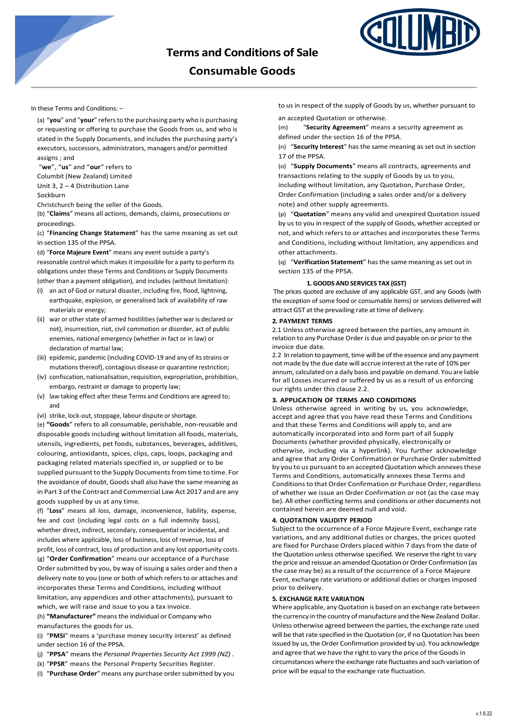

# **Consumable Goods**

In these Terms and Conditions: –

(a) "**you**" and "**your**" refersto the purchasing party who is purchasing or requesting or offering to purchase the Goods from us, and who is stated in the Supply Documents, and includes the purchasing party's executors, successors, administrators, managers and/or permitted assigns ; and

"**we**", "**us**" and "**our**" refers to Columbit (New Zealand) Limited Unit 3, 2 – 4 Distribution Lane

Sockburn

Christchurch being the seller of the Goods.

(b) "**Claims**" means all actions, demands, claims, prosecutions or proceedings.

(c) "**Financing Change Statement**" has the same meaning as set out in section 135 of the PPSA.

(d) "**Force Majeure Event**" means any event outside a party's reasonable control which makesit impossible for a party to perform its obligations under these Terms and Conditions or Supply Documents (other than a payment obligation), and includes (without limitation):

- (i) an act of God or natural disaster, including fire, flood, lightning, earthquake, explosion, or generalised lack of availability of raw materials or energy;
- (ii) war or other state of armed hostilities (whether war is declared or not), insurrection, riot, civil commotion or disorder, act of public enemies, national emergency (whether in fact or in law) or declaration of martial law;
- (iii) epidemic, pandemic (including COVID-19 and any of its strains or mutations thereof), contagious disease or quarantine restriction;
- (iv) confiscation, nationalisation, requisition, expropriation, prohibition, embargo, restraint or damage to property law;
- (v) law taking effect after these Terms and Conditions are agreed to; and
- (vi) strike, lock-out, stoppage, labour dispute or shortage.

(e) **"Goods**" refers to all consumable, perishable, non-reusable and disposable goods including without limitation all foods, materials, utensils, ingredients, pet foods, substances, beverages, additives, colouring, antioxidants, spices, clips, caps, loops, packaging and packaging related materials specified in, or supplied or to be supplied pursuant to the Supply Documents from time to time. For the avoidance of doubt, Goods shall also have the same meaning as in Part 3 of the Contract and Commercial Law Act 2017 and are any goods supplied by us at any time.

(f) "**Loss**" means all loss, damage, inconvenience, liability, expense, fee and cost (including legal costs on a full indemnity basis), whether direct, indirect, secondary, consequential or incidental, and includes where applicable, loss of business, loss of revenue, loss of profit, loss of contract, loss of production and any lost opportunity costs. (g) "**Order Confirmation**" means our acceptance of a Purchase Order submitted by you, by way of issuing a sales order and then a delivery note to you (one or both of which refers to or attaches and incorporates these Terms and Conditions, including without limitation, any appendices and other attachments), pursuant to which, we will raise and issue to you a tax invoice.

(h) **"Manufacturer"** meansthe individual or Company who manufactures the goods for us.

(i) "**PMSI**" means a 'purchase money security interest' as defined under section 16 of the PPSA.

- (j) "**PPSA**" means the *Personal Properties Security Act 1999 (NZ)* .
- (k) "**PPSR**" means the Personal Property Securities Register.
- (l) "**Purchase Order**"means any purchase ordersubmitted by you

to us in respect of the supply of Goods by us, whether pursuant to

an accepted Quotation or otherwise.

(m) "**Security Agreement**" means a security agreement as defined under the section 16 of the PPSA.

(n) "Security Interest" has the same meaning as set out in section 17 of the PPSA.

(o) "**Supply Documents**" means all contracts, agreements and transactions relating to the supply of Goods by us to you, including without limitation, any Quotation, Purchase Order, Order Confirmation (including a sales order and/or a delivery note) and other supply agreements.

(p) "**Quotation**" means any valid and unexpired Quotation issued by us to you in respect of the supply of Goods, whether accepted or not, and which refers to or attaches and incorporates these Terms and Conditions, including without limitation, any appendices and other attachments.

(q) "**Verification Statement**" hasthe same meaning asset out in section 135 of the PPSA.

# **1.GOODS ANDSERVICES TAX (GST)**

The prices quoted are exclusive of any applicable GST, and any Goods (with the exception of some food or consumable items) or services delivered will attract GST at the prevailing rate at time of delivery.

# **2. PAYMENT TERMS**

2.1 Unless otherwise agreed between the parties, any amount in relation to any Purchase Order is due and payable on or prior to the invoice due date.

2.2 In relation to payment, time will be of the essence and any payment not made by the due date will accrue interest at the rate of 10% per annum, calculated on a daily basis and payable on demand. You are liable for all Losses incurred or suffered by us as a result of us enforcing our rights under this clause 2.2.

# **3. APPLICATION OF TERMS AND CONDITIONS**

Unless otherwise agreed in writing by us, you acknowledge, accept and agree that you have read these Terms and Conditions and that these Terms and Conditions will apply to, and are automatically incorporated into and form part of all Supply Documents (whether provided physically, electronically or otherwise, including via a hyperlink). You further acknowledge and agree that any Order Confirmation or Purchase Order submitted by you to us pursuant to an accepted Quotation which annexes these Terms and Conditions, automatically annexes these Terms and Conditions to that Order Confirmation or Purchase Order, regardless of whether we issue an Order Confirmation or not (as the case may be). All other conflicting terms and conditions or other documents not contained herein are deemed null and void.

#### **4. QUOTATION VALIDITY PERIOD**

Subject to the occurrence of a Force Majeure Event, exchange rate variations, and any additional duties or charges, the prices quoted are fixed for Purchase Orders placed within 7 days from the date of the Quotation unless otherwise specified. We reserve the right to vary the price and reissue an amended Quotation or Order Confirmation (as the case may be) as a result of the occurrence of a Force Majeure Event, exchange rate variations or additional duties or charges imposed prior to delivery.

# **5. EXCHANGE RATE VARIATION**

Where applicable, any Quotation is based on an exchange rate between the currency in the country of manufacture and the New Zealand Dollar. Unless otherwise agreed between the parties, the exchange rate used will be that rate specified in the Quotation (or, if no Quotation has been issued by us, the Order Confirmation provided by us). You acknowledge and agree that we have the right to vary the price of the Goods in circumstances where the exchange rate fluctuates and such variation of price will be equal to the exchange rate fluctuation.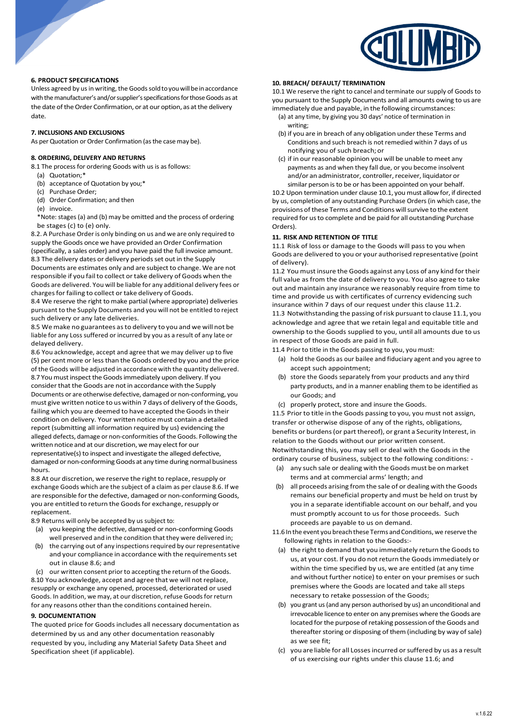

# **6. PRODUCT SPECIFICATIONS**

Unless agreed by us in writing, the Goods sold to you will be in accordance with the manufacturer's and/or supplier's specifications for those Goods as at the date of the Order Confirmation, or at our option, as at the delivery date.

# **7. INCLUSIONS AND EXCLUSIONS**

As per Quotation or Order Confirmation (as the case may be).

# **8. ORDERING, DELIVERY AND RETURNS**

8.1 The process for ordering Goods with us is as follows:

- (a) Quotation;\*
- (b) acceptance of Quotation by you;\*
- (c) Purchase Order;
- (d) Order Confirmation; and then
- (e) invoice.

\*Note: stages (a) and (b) may be omitted and the process of ordering be stages (c) to (e) only.

8.2. A Purchase Order is only binding on us and we are only required to supply the Goods once we have provided an Order Confirmation

(specifically, a sales order) and you have paid the full invoice amount. 8.3 The delivery dates or delivery periods set out in the Supply Documents are estimates only and are subject to change. We are not responsible if you fail to collect or take delivery of Goods when the

Goods are delivered. You will be liable for any additional delivery fees or charges for failing to collect or take delivery of Goods.

8.4 We reserve the right to make partial (where appropriate) deliveries pursuant to the Supply Documents and you will not be entitled to reject such delivery or any late deliveries.

8.5 We make no guarantees asto delivery to you and we will not be liable for any Loss suffered or incurred by you as a result of any late or delayed delivery.

8.6 You acknowledge, accept and agree that we may deliver up to five (5) per cent more or lessthan the Goods ordered by you and the price of the Goods will be adjusted in accordance with the quantity delivered. 8.7 You must inspect the Goods immediately upon delivery. If you consider that the Goods are not in accordance with the Supply Documents or are otherwise defective, damaged or non-conforming, you must give written notice to us within 7 days of delivery of the Goods, failing which you are deemed to have accepted the Goods in their condition on delivery. Your written notice must contain a detailed report (submitting all information required by us) evidencing the alleged defects, damage or non-conformities of the Goods. Following the written notice and at our discretion, we may elect for our representative(s) to inspect and investigate the alleged defective, damaged or non-conforming Goods at any time during normal business hours.

8.8 At our discretion, we reserve the right to replace, resupply or exchange Goods which are the subject of a claim as per clause 8.6. If we are responsible for the defective, damaged or non-conforming Goods, you are entitled to return the Goods for exchange, resupply or replacement.

8.9 Returns will only be accepted by us subject to:

- (a) you keeping the defective, damaged or non-conforming Goods well preserved and in the condition that they were delivered in;
- (b) the carrying out of any inspections required by our representative and your compliance in accordance with the requirements set out in clause 8.6; and

(c) our written consent prior to accepting the return of the Goods. 8.10 You acknowledge, accept and agree that we will not replace, resupply or exchange any opened, processed, deteriorated or used Goods. In addition, we may, at our discretion, refuse Goods for return for any reasons other than the conditions contained herein.

# **9. DOCUMENTATION**

The quoted price for Goods includes all necessary documentation as determined by us and any other documentation reasonably requested by you, including any Material Safety Data Sheet and Specification sheet (if applicable).

# **10. BREACH/ DEFAULT/ TERMINATION**

10.1 We reserve the right to cancel and terminate our supply of Goods to you pursuant to the Supply Documents and all amounts owing to us are immediately due and payable, in the following circumstances:

- (a) at any time, by giving you 30 days' notice of termination in writing;
- (b) if you are in breach of any obligation under these Terms and Conditions and such breach is not remedied within 7 days of us notifying you of such breach; or
- (c) if in our reasonable opinion you will be unable to meet any payments as and when they fall due, or you become insolvent and/or an administrator, controller, receiver, liquidator or similar person is to be or has been appointed on your behalf.

10.2 Upon termination under clause 10.1, you must allow for, if directed by us, completion of any outstanding Purchase Orders (in which case, the provisions of these Terms and Conditions will survive to the extent required for us to complete and be paid for all outstanding Purchase Orders).

## **11. RISK AND RETENTION OF TITLE**

11.1 Risk of loss or damage to the Goods will pass to you when Goods are delivered to you or your authorised representative (point of delivery).

11.2 You must insure the Goods against any Loss of any kind for their full value as from the date of delivery to you. You also agree to take out and maintain any insurance we reasonably require from time to time and provide us with certificates of currency evidencing such insurance within 7 days of our request under this clause 11.2.

11.3 Notwithstanding the passing ofrisk pursuant to clause 11.1, you acknowledge and agree that we retain legal and equitable title and ownership to the Goods supplied to you, until all amounts due to us in respect of those Goods are paid in full.

11.4 Prior to title in the Goods passing to you, you must:

- (a) hold the Goods as our bailee and fiduciary agent and you agree to accept such appointment;
- (b) store the Goods separately from your products and any third party products, and in a manner enabling them to be identified as our Goods; and
- (c) properly protect, store and insure the Goods.

11.5 Prior to title in the Goods passing to you, you must not assign, transfer or otherwise dispose of any of the rights, obligations, benefits or burdens(or part thereof), or grant a Security Interest, in relation to the Goods without our prior written consent. Notwithstanding this, you may sell or deal with the Goods in the

ordinary course of business, subject to the following conditions: - (a) any such sale or dealing with the Goods must be on market

- terms and at commercial arms' length; and
- (b) all proceeds arising from the sale of or dealing with the Goods remains our beneficial property and must be held on trust by you in a separate identifiable account on our behalf, and you must promptly account to us for those proceeds. Such proceeds are payable to us on demand.
- 11.6 In the event you breach these Terms and Conditions, we reserve the following rights in relation to the Goods:-
	- (a) the right to demand that you immediately return the Goods to us, at your cost. If you do not return the Goodsimmediately or within the time specified by us, we are entitled (at any time and without further notice) to enter on your premises or such premises where the Goods are located and take all steps necessary to retake possession of the Goods;
	- (b) you grant us(and any person authorised by us) an unconditional and irrevocable licence to enter on any premises where the Goods are located for the purpose of retaking possession of the Goods and thereafter storing or disposing of them (including by way of sale) as we see fit;
	- (c) you are liable for all Lossesincurred orsuffered by us as a result of us exercising our rights under this clause 11.6; and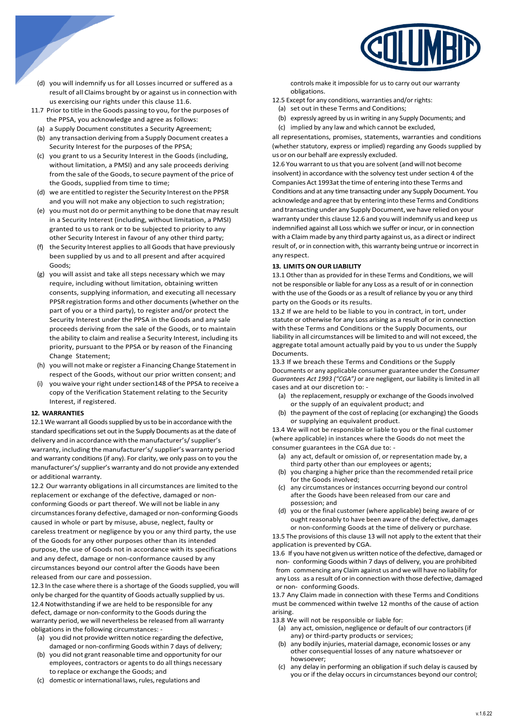

- (d) you will indemnify us for all Losses incurred or suffered as a result of all Claims brought by or against us in connection with us exercising our rights under this clause 11.6.
- 11.7 Prior to title in the Goods passing to you, forthe purposes of the PPSA, you acknowledge and agree as follows:
	- (a) a Supply Document constitutes a Security Agreement;
	- (b) any transaction deriving from a Supply Document creates a Security Interest for the purposes of the PPSA;
	- (c) you grant to us a Security Interest in the Goods (including, without limitation, a PMSI) and any sale proceeds deriving from the sale of the Goods, to secure payment of the price of the Goods, supplied from time to time;
	- (d) we are entitled to register the Security Interest on the PPSR and you will not make any objection to such registration;
	- (e) you must not do or permit anything to be done that may result in a Security Interest (including, without limitation, a PMSI) granted to us to rank or to be subjected to priority to any other Security Interest in favour of any other third party;
	- (f) the Security Interest applies to all Goods that have previously been supplied by us and to all present and after acquired Goods;
	- (g) you will assist and take all steps necessary which we may require, including without limitation, obtaining written consents, supplying information, and executing all necessary PPSR registration forms and other documents(whether on the part of you or a third party), to register and/or protect the Security Interest under the PPSA in the Goods and any sale proceeds deriving from the sale of the Goods, or to maintain the ability to claim and realise a Security Interest, including its priority, pursuant to the PPSA or by reason of the Financing Change Statement;
- (h) you will not make orregister a Financing Change Statement in respect of the Goods, without our prior written consent; and
- (i) you waive your right under section 148 of the PPSA to receive a copy of the Verification Statement relating to the Security Interest, if registered.

# **12. WARRANTIES**

12.1 We warrant all Goods supplied by us to be in accordance with the standard specifications set out in the Supply Documents as at the date of delivery and in accordance with the manufacturer's/supplier's warranty, including the manufacturer's/ supplier's warranty period and warranty conditions (if any). For clarity, we only pass on to you the manufacturer's/ supplier's warranty and do not provide any extended or additional warranty.

12.2 Our warranty obligations in all circumstances are limited to the replacement or exchange of the defective, damaged or nonconforming Goods or part thereof. We will not be liable in any circumstances forany defective, damaged or non-conforming Goods caused in whole or part by misuse, abuse, neglect, faulty or careless treatment or negligence by you or any third party, the use of the Goods for any other purposes other than its intended purpose, the use of Goods not in accordance with its specifications and any defect, damage or non-conformance caused by any circumstances beyond our control after the Goods have been released from our care and possession.

12.3 In the case where there is a shortage of the Goods supplied, you will only be charged for the quantity of Goods actually supplied by us. 12.4 Notwithstanding if we are held to be responsible for any defect, damage or non-conformity to the Goods during the warranty period, we will nevertheless be released from all warranty obligations in the following circumstances: -

- (a) you did not provide written notice regarding the defective, damaged or non-confirming Goods within 7 days of delivery;
- (b) you did not grant reasonable time and opportunity for our employees, contractors or agents to do all things necessary to replace or exchange the Goods; and
- (c) domestic or international laws, rules, regulations and

controls make it impossible for us to carry out our warranty obligations.

- 12.5 Except for any conditions, warranties and/or rights:
	- (a) set out in these Terms and Conditions;
	- (b) expressly agreed by us in writing in any Supply Documents; and
	- (c) implied by any law and which cannot be excluded,

all representations, promises, statements, warranties and conditions (whether statutory, express or implied) regarding any Goods supplied by us or on our behalf are expressly excluded.

12.6 You warrant to us that you are solvent (and will not become insolvent) in accordance with the solvency test under section 4 of the Companies Act 1993at the time of entering into these Terms and Conditions and at any time transacting under any Supply Document. You acknowledge and agree that by entering into these Terms and Conditions and transacting under any Supply Document, we have relied on your warranty under this clause 12.6 and you will indemnify us and keep us indemnified against all Loss which we suffer or incur, or in connection with a Claim made by any third party against us, as a direct or indirect result of, or in connection with, this warranty being untrue or incorrect in any respect.

## **13. LIMITS ON OUR LIABILITY**

13.1 Other than as provided for in these Terms and Conditions, we will not be responsible or liable for any Loss as a result of or in connection with the use of the Goods or as a result of reliance by you or any third party on the Goods or its results.

13.2 If we are held to be liable to you in contract, in tort, under statute or otherwise for any Loss arising as a result of or in connection with these Terms and Conditions or the Supply Documents, our liability in all circumstances will be limited to and will not exceed, the aggregate total amount actually paid by you to us under the Supply Documents.

13.3 If we breach these Terms and Conditions or the Supply Documents or any applicable consumer guarantee under the *Consumer Guarantees Act 1993 ("CGA")* or are negligent, our liability is limited in all cases and at our discretion to: -

- (a) the replacement, resupply or exchange of the Goodsinvolved or the supply of an equivalent product; and
- (b) the payment of the cost of replacing (or exchanging) the Goods or supplying an equivalent product.

13.4 We will not be responsible or liable to you or the final customer (where applicable) in instances where the Goods do not meet the consumer guarantees in the CGA due to: -

- (a) any act, default or omission of, or representation made by, a third party other than our employees or agents;
- you charging a higher price than the recommended retail price for the Goods involved;
- (c) any circumstances or instances occurring beyond our control after the Goods have been released from our care and possession; and
- (d) you or the final customer (where applicable) being aware of or ought reasonably to have been aware of the defective, damages or non-conforming Goods at the time of delivery or purchase.

13.5 The provisions of this clause 13 will not apply to the extent that their application is prevented by CGA.

13.6 If you have not given us written notice of the defective, damaged or non- conforming Goods within 7 days of delivery, you are prohibited from commencing any Claim against us and we will have no liability for any Loss as a result of or in connection with those defective, damaged or non- conforming Goods.

13.7 Any Claim made in connection with these Terms and Conditions must be commenced within twelve 12 months of the cause of action arising.

13.8 We will not be responsible or liable for:

- (a) any act, omission, negligence or default of our contractors(if any) or third-party products or services;
- (b) any bodily injuries, material damage, economic losses or any other consequential losses of any nature whatsoever or howsoever;
- (c) any delay in performing an obligation if such delay is caused by you or if the delay occurs in circumstances beyond our control;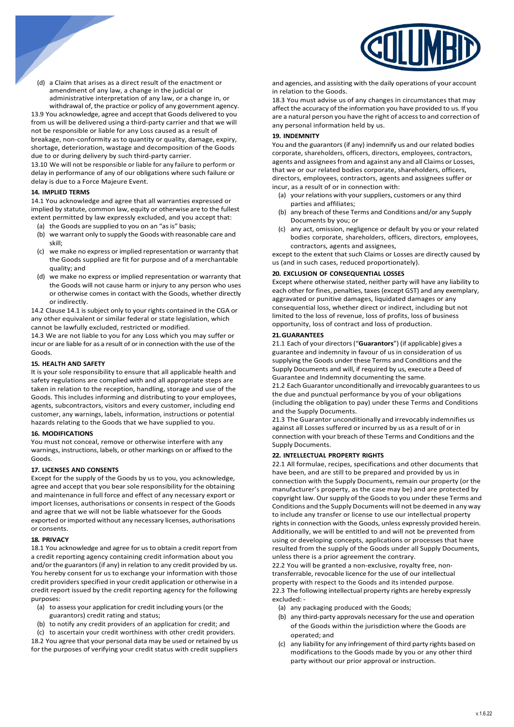

(d) a Claim that arises as a direct result of the enactment or amendment of any law, a change in the judicial or administrative interpretation of any law, or a change in, or withdrawal of, the practice or policy of any government agency.

13.9 You acknowledge, agree and accept that Goods delivered to you from us will be delivered using a third-party carrier and that we will not be responsible or liable for any Loss caused as a result of breakage, non-conformity asto quantity or quality, damage, expiry, shortage, deterioration, wastage and decomposition of the Goods due to or during delivery by such third-party carrier.

13.10 We will not be responsible or liable for any failure to perform or delay in performance of any of our obligations where such failure or delay is due to a Force Majeure Event.

# **14. IMPLIED TERMS**

14.1 You acknowledge and agree that all warranties expressed or implied by statute, common law, equity or otherwise are to the fullest extent permitted by law expressly excluded, and you accept that:

- (a) the Goods are supplied to you on an "as is" basis;
- (b) we warrant only to supply the Goods with reasonable care and skill;
- (c) we make no express or implied representation or warranty that the Goods supplied are fit for purpose and of a merchantable quality; and
- (d) we make no express or implied representation or warranty that the Goods will not cause harm or injury to any person who uses or otherwise comes in contact with the Goods, whether directly or indirectly.

14.2 Clause 14.1 is subject only to your rights contained in the CGA or any other equivalent or similar federal or state legislation, which cannot be lawfully excluded, restricted or modified.

14.3 We are not liable to you for any Loss which you may suffer or incur or are liable for as a result of or in connection with the use of the Goods.

## **15. HEALTH AND SAFETY**

It is your sole responsibility to ensure that all applicable health and safety regulations are complied with and all appropriate steps are taken in relation to the reception, handling, storage and use of the Goods. This includes informing and distributing to your employees, agents, subcontractors, visitors and every customer, including end customer, any warnings, labels, information, instructions or potential hazards relating to the Goods that we have supplied to you.

#### **16. MODIFICATIONS**

You must not conceal, remove or otherwise interfere with any warnings, instructions, labels, or other markings on or affixed to the Goods.

#### **17. LICENSES AND CONSENTS**

Except for the supply of the Goods by us to you, you acknowledge, agree and accept that you bear sole responsibility for the obtaining and maintenance in full force and effect of any necessary export or import licenses, authorisations or consents in respect of the Goods and agree that we will not be liable whatsoever for the Goods exported or imported without any necessary licenses, authorisations or consents.

#### **18. PRIVACY**

18.1 You acknowledge and agree for us to obtain a credit report from a credit reporting agency containing credit information about you and/or the guarantors (if any) in relation to any credit provided by us. You hereby consent for us to exchange your information with those credit providers specified in your credit application or otherwise in a credit report issued by the credit reporting agency for the following purposes:

- (a) to assess your application for credit including yours(or the guarantors) credit rating and status;
- to notify any credit providers of an application for credit; and
- (c) to ascertain your credit worthiness with other credit providers.

18.2 You agree that your personal data may be used or retained by us for the purposes of verifying your credit status with credit suppliers

and agencies, and assisting with the daily operations of your account in relation to the Goods.

18.3 You must advise us of any changes in circumstances that may affect the accuracy of the information you have provided to us. If you are a natural person you have the right of accessto and correction of any personal information held by us.

#### **19. INDEMNITY**

You and the guarantors (if any) indemnify us and our related bodies corporate, shareholders, officers, directors, employees, contractors, agents and assigneesfrom and against any and all Claims or Losses, that we or our related bodies corporate, shareholders, officers, directors, employees, contractors, agents and assignees suffer or incur, as a result of or in connection with:

- (a) your relations with your suppliers, customers or any third parties and affiliates;
- (b) any breach of these Terms and Conditions and/or any Supply Documents by you; or
- (c) any act, omission, negligence or default by you or your related bodies corporate, shareholders, officers, directors, employees, contractors, agents and assignees,

except to the extent that such Claims or Losses are directly caused by us (and in such cases, reduced proportionately).

#### **20. EXCLUSION OF CONSEQUENTIAL LOSSES**

Except where otherwise stated, neither party will have any liability to each other for fines, penalties, taxes (except GST) and any exemplary, aggravated or punitive damages, liquidated damages or any consequential loss, whether direct or indirect, including but not limited to the loss of revenue, loss of profits, loss of business opportunity, loss of contract and loss of production.

# **21.GUARANTEES**

21.1 Each of your directors("**Guarantors**") (if applicable) gives a guarantee and indemnity in favour of us in consideration of us supplying the Goods under these Terms and Conditions and the Supply Documents and will, if required by us, execute a Deed of Guarantee and Indemnity documenting the same.

21.2 Each Guarantor unconditionally and irrevocably guarantees to us the due and punctual performance by you of your obligations (including the obligation to pay) under these Terms and Conditions and the Supply Documents.

21.3 The Guarantor unconditionally and irrevocably indemnifies us against all Losses suffered or incurred by us as a result of or in connection with your breach of these Terms and Conditions and the Supply Documents.

#### **22. INTELLECTUAL PROPERTY RIGHTS**

22.1 All formulae, recipes, specifications and other documents that have been, and are still to be prepared and provided by us in connection with the Supply Documents, remain our property (or the manufacturer's property, as the case may be) and are protected by copyright law. Our supply of the Goods to you under these Terms and Conditions and the Supply Documents will not be deemed in any way to include any transfer or license to use our intellectual property rights in connection with the Goods, unless expressly provided herein. Additionally, we will be entitled to and will not be prevented from using or developing concepts, applications or processes that have resulted from the supply of the Goods under all Supply Documents, unless there is a prior agreement the contrary.

22.2 You will be granted a non-exclusive, royalty free, nontransferrable, revocable licence for the use of our intellectual property with respect to the Goods and its intended purpose. 22.3 The following intellectual property rights are hereby expressly excluded: -

- (a) any packaging produced with the Goods;
- (b) any third-party approvals necessary forthe use and operation of the Goods within the jurisdiction where the Goods are operated; and
- (c) any liability for any infringement of third party rights based on modifications to the Goods made by you or any other third party without our prior approval or instruction.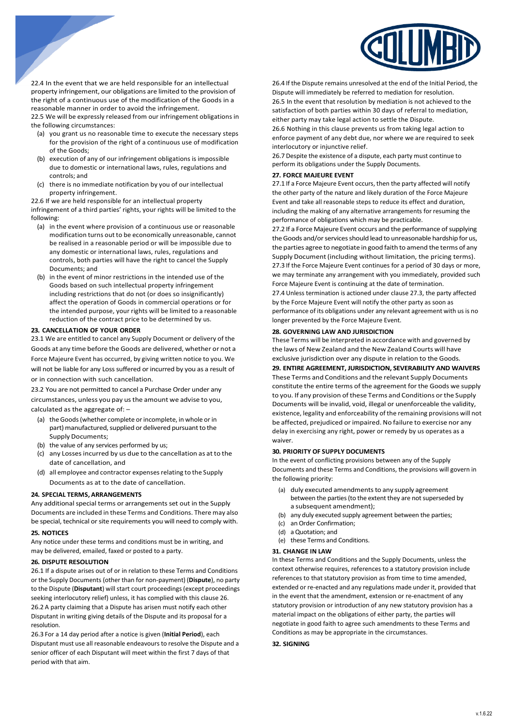

22.4 In the event that we are held responsible for an intellectual property infringement, our obligations are limited to the provision of the right of a continuous use of the modification of the Goods in a reasonable manner in order to avoid the infringement.

22.5 We will be expressly released from our infringement obligations in the following circumstances:

- (a) you grant us no reasonable time to execute the necessary steps for the provision of the right of a continuous use of modification of the Goods;
- (b) execution of any of our infringement obligations is impossible due to domestic or international laws, rules, regulations and controls; and
- (c) there is no immediate notification by you of our intellectual property infringement.

22.6 If we are held responsible for an intellectual property infringement of a third parties' rights, your rights will be limited to the following:

- (a) in the event where provision of a continuous use or reasonable modification turns out to be economically unreasonable, cannot be realised in a reasonable period or will be impossible due to any domestic or international laws, rules, regulations and controls, both parties will have the right to cancel the Supply Documents; and
- (b) in the event of minor restrictions in the intended use of the Goods based on such intellectual property infringement including restrictions that do not (or does so insignificantly) affect the operation of Goods in commercial operations or for the intended purpose, your rights will be limited to a reasonable reduction of the contract price to be determined by us.

# **23. CANCELLATION OF YOUR ORDER**

23.1 We are entitled to cancel any Supply Document or delivery of the Goods at any time before the Goods are delivered, whether or not a Force Majeure Event has occurred, by giving written notice to you. We will not be liable for any Loss suffered or incurred by you as a result of or in connection with such cancellation.

23.2 You are not permitted to cancel a Purchase Order under any circumstances, unless you pay usthe amount we advise to you, calculated as the aggregate of: –

- (a) the Goods (whether complete or incomplete, in whole or in part) manufactured, supplied or delivered pursuant to the Supply Documents;
- (b) the value of any services performed by us;
- (c) any Lossesincurred by us due to the cancellation as at to the date of cancellation, and
- (d) all employee and contractor expensesrelating to the Supply Documents as at to the date of cancellation.

# **24. SPECIAL TERMS, ARRANGEMENTS**

Any additional special terms or arrangements set out in the Supply Documents are included in these Terms and Conditions. There may also be special, technical or site requirements you will need to comply with.

#### **25. NOTICES**

Any notice under these terms and conditions must be in writing, and may be delivered, emailed, faxed or posted to a party.

# **26. DISPUTE RESOLUTION**

26.1 If a dispute arises out of or in relation to these Terms and Conditions or the Supply Documents (other than for non-payment) (**Dispute**), no party to the Dispute (Disputant) will start court proceedings (except proceedings seeking interlocutory relief) unless, it has complied with this clause 26. 26.2 A party claiming that a Dispute has arisen must notify each other Disputant in writing giving details of the Dispute and its proposal for a resolution.

26.3 For a 14 day period after a notice is given (**Initial Period**), each Disputant must use all reasonable endeavours to resolve the Dispute and a senior officer of each Disputant will meet within the first 7 days of that period with that aim.

26.4 If the Dispute remains unresolved at the end of the Initial Period, the Dispute will immediately be referred to mediation for resolution. 26.5 In the event that resolution by mediation is not achieved to the satisfaction of both parties within 30 days of referral to mediation, either party may take legal action to settle the Dispute.

26.6 Nothing in this clause prevents us from taking legal action to enforce payment of any debt due, nor where we are required to seek interlocutory or injunctive relief.

26.7Despite the existence of a dispute, each party must continue to perform its obligations under the Supply Documents.

# **27. FORCE MAJEURE EVENT**

27.1 If a Force Majeure Event occurs, then the party affected will notify the other party of the nature and likely duration of the Force Majeure Event and take all reasonable steps to reduce its effect and duration, including the making of any alternative arrangements for resuming the performance of obligations which may be practicable.

27.2 If a Force Majeure Event occurs and the performance of supplying the Goods and/or services should lead to unreasonable hardship for us, the parties agree to negotiate in good faith to amend the terms of any Supply Document (including without limitation, the pricing terms). 27.3 If the Force Majeure Event continues for a period of 30 days or more, we may terminate any arrangement with you immediately, provided such Force Majeure Event is continuing at the date of termination.

27.4Unless termination is actioned under clause 27.3, the party affected by the Force Majeure Event will notify the other party as soon as performance of its obligations under any relevant agreement with us is no longer prevented by the Force Majeure Event.

# **28. GOVERNING LAW AND JURISDICTION**

These Terms will be interpreted in accordance with and governed by the laws of New Zealand and the New Zealand Courts will have exclusive jurisdiction over any dispute in relation to the Goods.

## **29. ENTIRE AGREEMENT, JURISDICTION, SEVERABILITY AND WAIVERS**

These Terms and Conditions and the relevant Supply Documents constitute the entire terms of the agreement for the Goods we supply to you. If any provision of these Terms and Conditions orthe Supply Documents will be invalid, void, illegal or unenforceable the validity, existence, legality and enforceability of the remaining provisions will not be affected, prejudiced or impaired. No failure to exercise nor any delay in exercising any right, power or remedy by us operates as a waiver.

#### **30. PRIORITY OF SUPPLY DOCUMENTS**

In the event of conflicting provisions between any of the Supply Documents and these Terms and Conditions, the provisions will govern in the following priority:

- (a) duly executed amendments to any supply agreement between the parties (to the extent they are not superseded by a subsequent amendment);
- (b) any duly executed supply agreement between the parties;
- (c) an Order Confirmation;
- (d) a Quotation; and
- (e) these Terms and Conditions.

# **31. CHANGE IN LAW**

In these Terms and Conditions and the Supply Documents, unless the context otherwise requires, references to a statutory provision include references to that statutory provision as from time to time amended, extended or re-enacted and any regulations made under it, provided that in the event that the amendment, extension or re-enactment of any statutory provision or introduction of any new statutory provision has a material impact on the obligations of either party, the parties will negotiate in good faith to agree such amendments to these Terms and Conditions as may be appropriate in the circumstances.

#### **32. SIGNING**